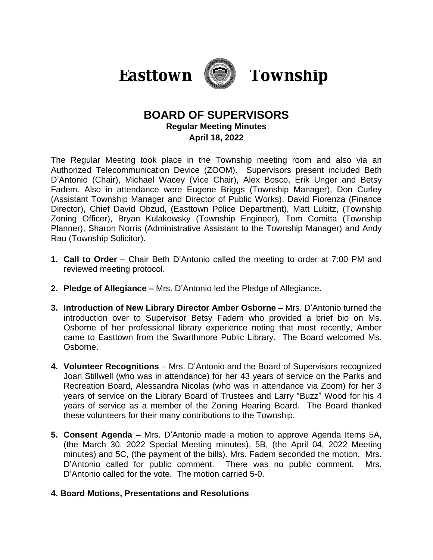



# **BOARD OF SUPERVISORS Regular Meeting Minutes April 18, 2022**

The Regular Meeting took place in the Township meeting room and also via an Authorized Telecommunication Device (ZOOM). Supervisors present included Beth D'Antonio (Chair), Michael Wacey (Vice Chair), Alex Bosco, Erik Unger and Betsy Fadem. Also in attendance were Eugene Briggs (Township Manager), Don Curley (Assistant Township Manager and Director of Public Works), David Fiorenza (Finance Director), Chief David Obzud, (Easttown Police Department), Matt Lubitz, (Township Zoning Officer), Bryan Kulakowsky (Township Engineer), Tom Comitta (Township Planner), Sharon Norris (Administrative Assistant to the Township Manager) and Andy Rau (Township Solicitor).

- **1. Call to Order** Chair Beth D'Antonio called the meeting to order at 7:00 PM and reviewed meeting protocol.
- **2. Pledge of Allegiance –** Mrs. D'Antonio led the Pledge of Allegiance**.**
- **3. Introduction of New Library Director Amber Osborne** Mrs. D'Antonio turned the introduction over to Supervisor Betsy Fadem who provided a brief bio on Ms. Osborne of her professional library experience noting that most recently, Amber came to Easttown from the Swarthmore Public Library. The Board welcomed Ms. Osborne.
- **4. Volunteer Recognitions** Mrs. D'Antonio and the Board of Supervisors recognized Joan Stillwell (who was in attendance) for her 43 years of service on the Parks and Recreation Board, Alessandra Nicolas (who was in attendance via Zoom) for her 3 years of service on the Library Board of Trustees and Larry "Buzz" Wood for his 4 years of service as a member of the Zoning Hearing Board. The Board thanked these volunteers for their many contributions to the Township.
- **5. Consent Agenda –** Mrs. D'Antonio made a motion to approve Agenda Items 5A, (the March 30, 2022 Special Meeting minutes), 5B, (the April 04, 2022 Meeting minutes) and 5C, (the payment of the bills). Mrs. Fadem seconded the motion. Mrs. D'Antonio called for public comment. There was no public comment. Mrs. D'Antonio called for the vote. The motion carried 5-0.

# **4. Board Motions, Presentations and Resolutions**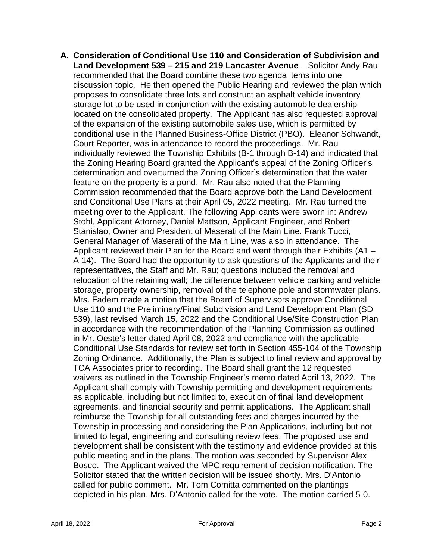**A. Consideration of Conditional Use 110 and Consideration of Subdivision and Land Development 539 – 215 and 219 Lancaster Avenue** – Solicitor Andy Rau recommended that the Board combine these two agenda items into one discussion topic. He then opened the Public Hearing and reviewed the plan which proposes to consolidate three lots and construct an asphalt vehicle inventory storage lot to be used in conjunction with the existing automobile dealership located on the consolidated property. The Applicant has also requested approval of the expansion of the existing automobile sales use, which is permitted by conditional use in the Planned Business-Office District (PBO). Eleanor Schwandt, Court Reporter, was in attendance to record the proceedings. Mr. Rau individually reviewed the Township Exhibits (B-1 through B-14) and indicated that the Zoning Hearing Board granted the Applicant's appeal of the Zoning Officer's determination and overturned the Zoning Officer's determination that the water feature on the property is a pond. Mr. Rau also noted that the Planning Commission recommended that the Board approve both the Land Development and Conditional Use Plans at their April 05, 2022 meeting. Mr. Rau turned the meeting over to the Applicant. The following Applicants were sworn in: Andrew Stohl, Applicant Attorney, Daniel Mattson, Applicant Engineer, and Robert Stanislao, Owner and President of Maserati of the Main Line. Frank Tucci, General Manager of Maserati of the Main Line, was also in attendance. The Applicant reviewed their Plan for the Board and went through their Exhibits (A1 – A-14). The Board had the opportunity to ask questions of the Applicants and their representatives, the Staff and Mr. Rau; questions included the removal and relocation of the retaining wall; the difference between vehicle parking and vehicle storage, property ownership, removal of the telephone pole and stormwater plans. Mrs. Fadem made a motion that the Board of Supervisors approve Conditional Use 110 and the Preliminary/Final Subdivision and Land Development Plan (SD 539), last revised March 15, 2022 and the Conditional Use/Site Construction Plan in accordance with the recommendation of the Planning Commission as outlined in Mr. Oeste's letter dated April 08, 2022 and compliance with the applicable Conditional Use Standards for review set forth in Section 455-104 of the Township Zoning Ordinance. Additionally, the Plan is subject to final review and approval by TCA Associates prior to recording. The Board shall grant the 12 requested waivers as outlined in the Township Engineer's memo dated April 13, 2022. The Applicant shall comply with Township permitting and development requirements as applicable, including but not limited to, execution of final land development agreements, and financial security and permit applications. The Applicant shall reimburse the Township for all outstanding fees and charges incurred by the Township in processing and considering the Plan Applications, including but not limited to legal, engineering and consulting review fees. The proposed use and development shall be consistent with the testimony and evidence provided at this public meeting and in the plans. The motion was seconded by Supervisor Alex Bosco. The Applicant waived the MPC requirement of decision notification. The Solicitor stated that the written decision will be issued shortly. Mrs. D'Antonio called for public comment. Mr. Tom Comitta commented on the plantings depicted in his plan. Mrs. D'Antonio called for the vote. The motion carried 5-0.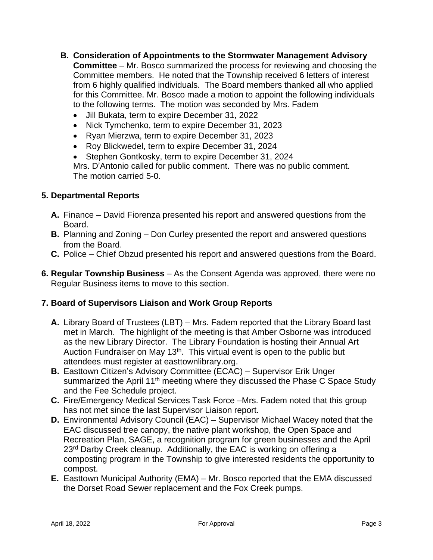- **B. Consideration of Appointments to the Stormwater Management Advisory Committee** – Mr. Bosco summarized the process for reviewing and choosing the Committee members. He noted that the Township received 6 letters of interest from 6 highly qualified individuals. The Board members thanked all who applied for this Committee. Mr. Bosco made a motion to appoint the following individuals to the following terms. The motion was seconded by Mrs. Fadem
	- Jill Bukata, term to expire December 31, 2022
	- Nick Tymchenko, term to expire December 31, 2023
	- Ryan Mierzwa, term to expire December 31, 2023
	- Roy Blickwedel, term to expire December 31, 2024
	- Stephen Gontkosky, term to expire December 31, 2024 Mrs. D'Antonio called for public comment. There was no public comment. The motion carried 5-0.

### **5. Departmental Reports**

- **A.** Finance David Fiorenza presented his report and answered questions from the Board.
- **B.** Planning and Zoning Don Curley presented the report and answered questions from the Board.
- **C.** Police Chief Obzud presented his report and answered questions from the Board.
- **6. Regular Township Business** As the Consent Agenda was approved, there were no Regular Business items to move to this section.

#### **7. Board of Supervisors Liaison and Work Group Reports**

- **A.** Library Board of Trustees (LBT) Mrs. Fadem reported that the Library Board last met in March. The highlight of the meeting is that Amber Osborne was introduced as the new Library Director. The Library Foundation is hosting their Annual Art Auction Fundraiser on May 13<sup>th</sup>. This virtual event is open to the public but attendees must register at easttownlibrary.org.
- **B.** Easttown Citizen's Advisory Committee (ECAC) Supervisor Erik Unger summarized the April 11<sup>th</sup> meeting where they discussed the Phase C Space Study and the Fee Schedule project.
- **C.** Fire/Emergency Medical Services Task Force –Mrs. Fadem noted that this group has not met since the last Supervisor Liaison report.
- **D.** Environmental Advisory Council (EAC) Supervisor Michael Wacey noted that the EAC discussed tree canopy, the native plant workshop, the Open Space and Recreation Plan, SAGE, a recognition program for green businesses and the April 23<sup>rd</sup> Darby Creek cleanup. Additionally, the EAC is working on offering a composting program in the Township to give interested residents the opportunity to compost.
- **E.** Easttown Municipal Authority (EMA) Mr. Bosco reported that the EMA discussed the Dorset Road Sewer replacement and the Fox Creek pumps.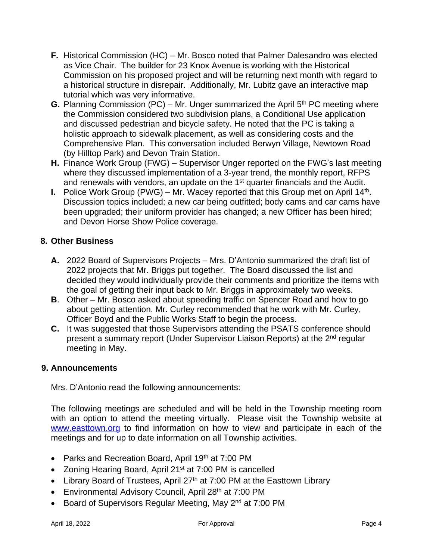- **F.** Historical Commission (HC) Mr. Bosco noted that Palmer Dalesandro was elected as Vice Chair. The builder for 23 Knox Avenue is working with the Historical Commission on his proposed project and will be returning next month with regard to a historical structure in disrepair. Additionally, Mr. Lubitz gave an interactive map tutorial which was very informative.
- **G.** Planning Commission (PC) Mr. Unger summarized the April 5<sup>th</sup> PC meeting where the Commission considered two subdivision plans, a Conditional Use application and discussed pedestrian and bicycle safety. He noted that the PC is taking a holistic approach to sidewalk placement, as well as considering costs and the Comprehensive Plan. This conversation included Berwyn Village, Newtown Road (by Hilltop Park) and Devon Train Station.
- **H.** Finance Work Group (FWG) Supervisor Unger reported on the FWG's last meeting where they discussed implementation of a 3-year trend, the monthly report, RFPS and renewals with vendors, an update on the 1<sup>st</sup> quarter financials and the Audit.
- **I.** Police Work Group (PWG) Mr. Wacey reported that this Group met on April 14<sup>th</sup>. Discussion topics included: a new car being outfitted; body cams and car cams have been upgraded; their uniform provider has changed; a new Officer has been hired; and Devon Horse Show Police coverage.

# **8. Other Business**

- **A.** 2022 Board of Supervisors Projects Mrs. D'Antonio summarized the draft list of 2022 projects that Mr. Briggs put together. The Board discussed the list and decided they would individually provide their comments and prioritize the items with the goal of getting their input back to Mr. Briggs in approximately two weeks.
- **B**. Other Mr. Bosco asked about speeding traffic on Spencer Road and how to go about getting attention. Mr. Curley recommended that he work with Mr. Curley, Officer Boyd and the Public Works Staff to begin the process.
- **C.** It was suggested that those Supervisors attending the PSATS conference should present a summary report (Under Supervisor Liaison Reports) at the 2nd regular meeting in May.

#### **9. Announcements**

Mrs. D'Antonio read the following announcements:

The following meetings are scheduled and will be held in the Township meeting room with an option to attend the meeting virtually. Please visit the Township website at [www.easttown.org](http://www.easttown.org) to find information on how to view and participate in each of the meetings and for up to date information on all Township activities.

- Parks and Recreation Board, April 19th at 7:00 PM
- Zoning Hearing Board, April 21<sup>st</sup> at 7:00 PM is cancelled
- Library Board of Trustees, April 27<sup>th</sup> at 7:00 PM at the Easttown Library
- Environmental Advisory Council, April 28<sup>th</sup> at 7:00 PM
- Board of Supervisors Regular Meeting, May 2<sup>nd</sup> at 7:00 PM